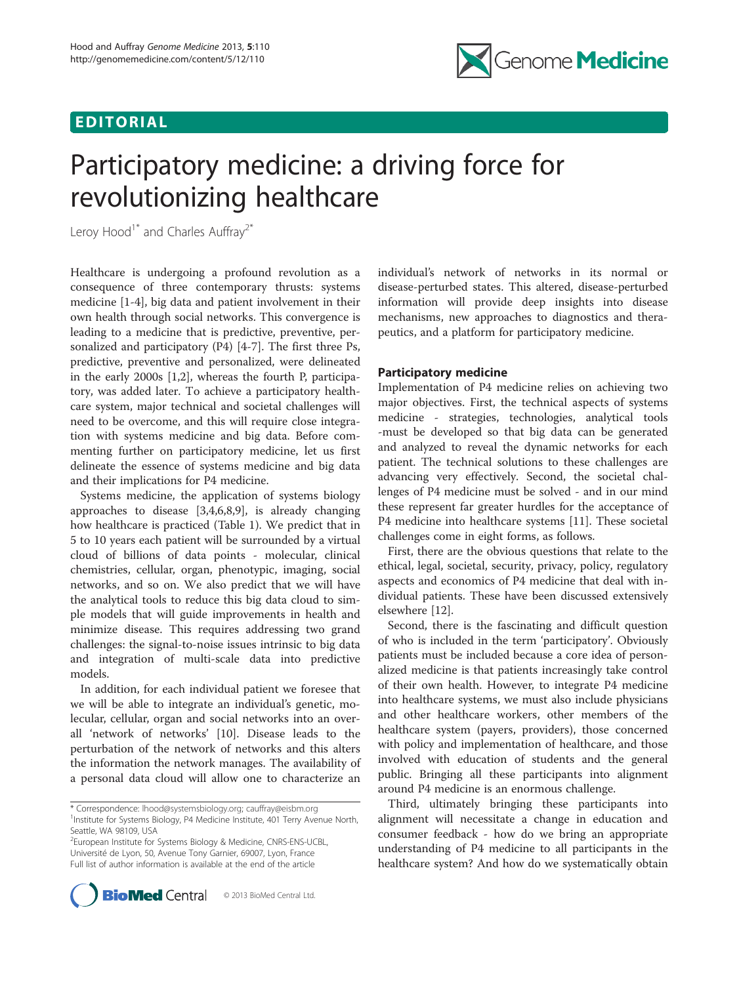# EDITORIAL



# Participatory medicine: a driving force for revolutionizing healthcare

Leroy Hood<sup>1\*</sup> and Charles Auffray<sup>2\*</sup>

Healthcare is undergoing a profound revolution as a consequence of three contemporary thrusts: systems medicine [\[1-4](#page-2-0)], big data and patient involvement in their own health through social networks. This convergence is leading to a medicine that is predictive, preventive, personalized and participatory (P4) [\[4](#page-2-0)-[7\]](#page-2-0). The first three Ps, predictive, preventive and personalized, were delineated in the early 2000s [\[1,2](#page-2-0)], whereas the fourth P, participatory, was added later. To achieve a participatory healthcare system, major technical and societal challenges will need to be overcome, and this will require close integration with systems medicine and big data. Before commenting further on participatory medicine, let us first delineate the essence of systems medicine and big data and their implications for P4 medicine.

Systems medicine, the application of systems biology approaches to disease [\[3,4,6,8,9](#page-2-0)], is already changing how healthcare is practiced (Table [1\)](#page-1-0). We predict that in 5 to 10 years each patient will be surrounded by a virtual cloud of billions of data points - molecular, clinical chemistries, cellular, organ, phenotypic, imaging, social networks, and so on. We also predict that we will have the analytical tools to reduce this big data cloud to simple models that will guide improvements in health and minimize disease. This requires addressing two grand challenges: the signal-to-noise issues intrinsic to big data and integration of multi-scale data into predictive models.

In addition, for each individual patient we foresee that we will be able to integrate an individual's genetic, molecular, cellular, organ and social networks into an overall 'network of networks' [[10\]](#page-2-0). Disease leads to the perturbation of the network of networks and this alters the information the network manages. The availability of a personal data cloud will allow one to characterize an

2 European Institute for Systems Biology & Medicine, CNRS-ENS-UCBL, Université de Lyon, 50, Avenue Tony Garnier, 69007, Lyon, France Full list of author information is available at the end of the article



individual's network of networks in its normal or disease-perturbed states. This altered, disease-perturbed information will provide deep insights into disease mechanisms, new approaches to diagnostics and therapeutics, and a platform for participatory medicine.

# Participatory medicine

Implementation of P4 medicine relies on achieving two major objectives. First, the technical aspects of systems medicine - strategies, technologies, analytical tools -must be developed so that big data can be generated and analyzed to reveal the dynamic networks for each patient. The technical solutions to these challenges are advancing very effectively. Second, the societal challenges of P4 medicine must be solved - and in our mind these represent far greater hurdles for the acceptance of P4 medicine into healthcare systems [\[11\]](#page-2-0). These societal challenges come in eight forms, as follows.

First, there are the obvious questions that relate to the ethical, legal, societal, security, privacy, policy, regulatory aspects and economics of P4 medicine that deal with individual patients. These have been discussed extensively elsewhere [[12](#page-2-0)].

Second, there is the fascinating and difficult question of who is included in the term 'participatory'. Obviously patients must be included because a core idea of personalized medicine is that patients increasingly take control of their own health. However, to integrate P4 medicine into healthcare systems, we must also include physicians and other healthcare workers, other members of the healthcare system (payers, providers), those concerned with policy and implementation of healthcare, and those involved with education of students and the general public. Bringing all these participants into alignment around P4 medicine is an enormous challenge.

Third, ultimately bringing these participants into alignment will necessitate a change in education and consumer feedback - how do we bring an appropriate understanding of P4 medicine to all participants in the healthcare system? And how do we systematically obtain

<sup>\*</sup> Correspondence: [lhood@systemsbiology.org;](mailto:lhood@systemsbiology.org) [cauffray@eisbm.org](mailto:cauffray@eisbm.org) <sup>1</sup> <sup>1</sup>Institute for Systems Biology, P4 Medicine Institute, 401 Terry Avenue North, Seattle, WA 98109, USA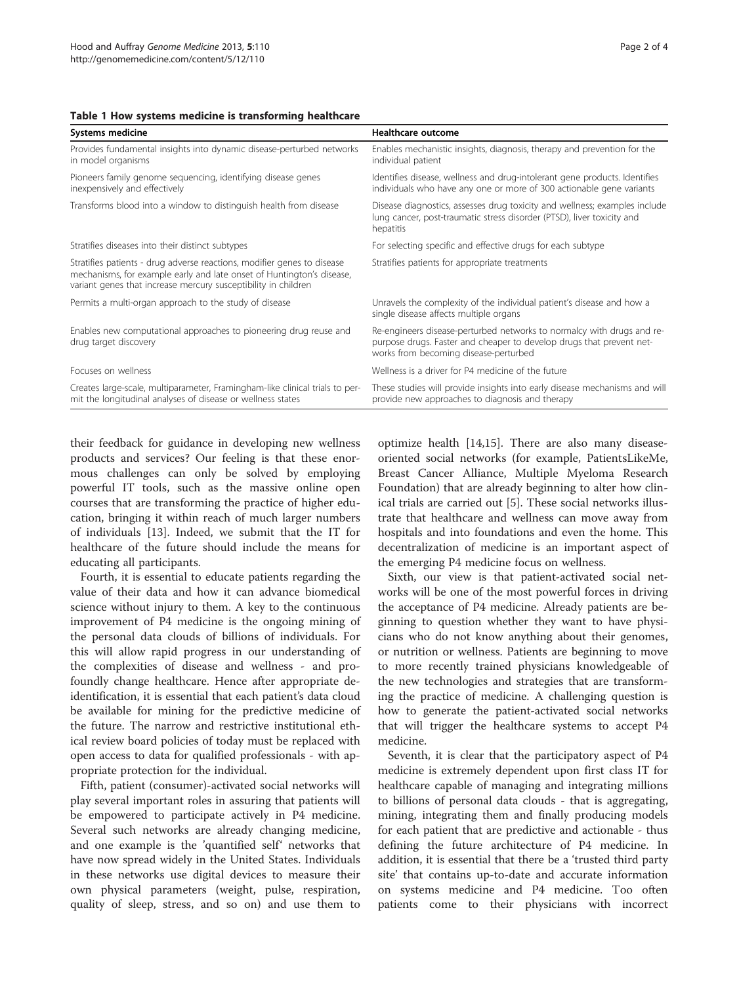### <span id="page-1-0"></span>Table 1 How systems medicine is transforming healthcare

| <b>Systems medicine</b>                                                                                                                                                                                            | Healthcare outcome                                                                                                                                                                      |
|--------------------------------------------------------------------------------------------------------------------------------------------------------------------------------------------------------------------|-----------------------------------------------------------------------------------------------------------------------------------------------------------------------------------------|
| Provides fundamental insights into dynamic disease-perturbed networks<br>in model organisms                                                                                                                        | Enables mechanistic insights, diagnosis, therapy and prevention for the<br>individual patient                                                                                           |
| Pioneers family genome sequencing, identifying disease genes<br>inexpensively and effectively                                                                                                                      | Identifies disease, wellness and drug-intolerant gene products. Identifies<br>individuals who have any one or more of 300 actionable gene variants                                      |
| Transforms blood into a window to distinguish health from disease                                                                                                                                                  | Disease diagnostics, assesses drug toxicity and wellness; examples include<br>lung cancer, post-traumatic stress disorder (PTSD), liver toxicity and<br>hepatitis                       |
| Stratifies diseases into their distinct subtypes                                                                                                                                                                   | For selecting specific and effective drugs for each subtype                                                                                                                             |
| Stratifies patients - drug adverse reactions, modifier genes to disease<br>mechanisms, for example early and late onset of Huntington's disease,<br>variant genes that increase mercury susceptibility in children | Stratifies patients for appropriate treatments                                                                                                                                          |
| Permits a multi-organ approach to the study of disease                                                                                                                                                             | Unravels the complexity of the individual patient's disease and how a<br>single disease affects multiple organs                                                                         |
| Enables new computational approaches to pioneering drug reuse and<br>drug target discovery                                                                                                                         | Re-engineers disease-perturbed networks to normalcy with drugs and re-<br>purpose drugs. Faster and cheaper to develop drugs that prevent net-<br>works from becoming disease-perturbed |
| Focuses on wellness                                                                                                                                                                                                | Wellness is a driver for P4 medicine of the future                                                                                                                                      |
| Creates large-scale, multiparameter, Framingham-like clinical trials to per-<br>mit the longitudinal analyses of disease or wellness states                                                                        | These studies will provide insights into early disease mechanisms and will<br>provide new approaches to diagnosis and therapy                                                           |

their feedback for guidance in developing new wellness products and services? Our feeling is that these enormous challenges can only be solved by employing powerful IT tools, such as the massive online open courses that are transforming the practice of higher education, bringing it within reach of much larger numbers of individuals [[13\]](#page-2-0). Indeed, we submit that the IT for healthcare of the future should include the means for educating all participants.

Fourth, it is essential to educate patients regarding the value of their data and how it can advance biomedical science without injury to them. A key to the continuous improvement of P4 medicine is the ongoing mining of the personal data clouds of billions of individuals. For this will allow rapid progress in our understanding of the complexities of disease and wellness - and profoundly change healthcare. Hence after appropriate deidentification, it is essential that each patient's data cloud be available for mining for the predictive medicine of the future. The narrow and restrictive institutional ethical review board policies of today must be replaced with open access to data for qualified professionals - with appropriate protection for the individual.

Fifth, patient (consumer)-activated social networks will play several important roles in assuring that patients will be empowered to participate actively in P4 medicine. Several such networks are already changing medicine, and one example is the 'quantified self' networks that have now spread widely in the United States. Individuals in these networks use digital devices to measure their own physical parameters (weight, pulse, respiration, quality of sleep, stress, and so on) and use them to

optimize health [[14,](#page-2-0)[15\]](#page-3-0). There are also many diseaseoriented social networks (for example, PatientsLikeMe, Breast Cancer Alliance, Multiple Myeloma Research Foundation) that are already beginning to alter how clinical trials are carried out [\[5](#page-2-0)]. These social networks illustrate that healthcare and wellness can move away from hospitals and into foundations and even the home. This decentralization of medicine is an important aspect of the emerging P4 medicine focus on wellness.

Sixth, our view is that patient-activated social networks will be one of the most powerful forces in driving the acceptance of P4 medicine. Already patients are beginning to question whether they want to have physicians who do not know anything about their genomes, or nutrition or wellness. Patients are beginning to move to more recently trained physicians knowledgeable of the new technologies and strategies that are transforming the practice of medicine. A challenging question is how to generate the patient-activated social networks that will trigger the healthcare systems to accept P4 medicine.

Seventh, it is clear that the participatory aspect of P4 medicine is extremely dependent upon first class IT for healthcare capable of managing and integrating millions to billions of personal data clouds - that is aggregating, mining, integrating them and finally producing models for each patient that are predictive and actionable - thus defining the future architecture of P4 medicine. In addition, it is essential that there be a 'trusted third party site' that contains up-to-date and accurate information on systems medicine and P4 medicine. Too often patients come to their physicians with incorrect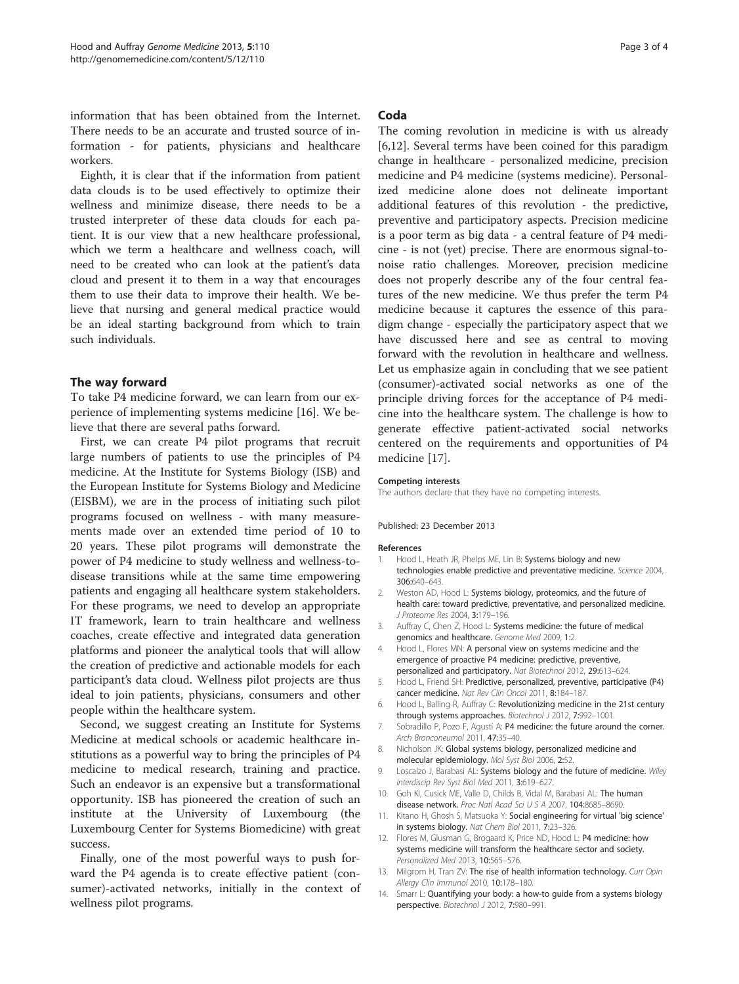<span id="page-2-0"></span>information that has been obtained from the Internet. There needs to be an accurate and trusted source of information - for patients, physicians and healthcare workers.

Eighth, it is clear that if the information from patient data clouds is to be used effectively to optimize their wellness and minimize disease, there needs to be a trusted interpreter of these data clouds for each patient. It is our view that a new healthcare professional, which we term a healthcare and wellness coach, will need to be created who can look at the patient's data cloud and present it to them in a way that encourages them to use their data to improve their health. We believe that nursing and general medical practice would be an ideal starting background from which to train such individuals.

# The way forward

To take P4 medicine forward, we can learn from our experience of implementing systems medicine [\[16\]](#page-3-0). We believe that there are several paths forward.

First, we can create P4 pilot programs that recruit large numbers of patients to use the principles of P4 medicine. At the Institute for Systems Biology (ISB) and the European Institute for Systems Biology and Medicine (EISBM), we are in the process of initiating such pilot programs focused on wellness - with many measurements made over an extended time period of 10 to 20 years. These pilot programs will demonstrate the power of P4 medicine to study wellness and wellness-todisease transitions while at the same time empowering patients and engaging all healthcare system stakeholders. For these programs, we need to develop an appropriate IT framework, learn to train healthcare and wellness coaches, create effective and integrated data generation platforms and pioneer the analytical tools that will allow the creation of predictive and actionable models for each participant's data cloud. Wellness pilot projects are thus ideal to join patients, physicians, consumers and other people within the healthcare system.

Second, we suggest creating an Institute for Systems Medicine at medical schools or academic healthcare institutions as a powerful way to bring the principles of P4 medicine to medical research, training and practice. Such an endeavor is an expensive but a transformational opportunity. ISB has pioneered the creation of such an institute at the University of Luxembourg (the Luxembourg Center for Systems Biomedicine) with great success.

Finally, one of the most powerful ways to push forward the P4 agenda is to create effective patient (consumer)-activated networks, initially in the context of wellness pilot programs.

# Coda

The coming revolution in medicine is with us already [6,12]. Several terms have been coined for this paradigm change in healthcare - personalized medicine, precision medicine and P4 medicine (systems medicine). Personalized medicine alone does not delineate important additional features of this revolution - the predictive, preventive and participatory aspects. Precision medicine is a poor term as big data - a central feature of P4 medicine - is not (yet) precise. There are enormous signal-tonoise ratio challenges. Moreover, precision medicine does not properly describe any of the four central features of the new medicine. We thus prefer the term P4 medicine because it captures the essence of this paradigm change - especially the participatory aspect that we have discussed here and see as central to moving forward with the revolution in healthcare and wellness. Let us emphasize again in concluding that we see patient (consumer)-activated social networks as one of the principle driving forces for the acceptance of P4 medicine into the healthcare system. The challenge is how to generate effective patient-activated social networks centered on the requirements and opportunities of P4 medicine [[17\]](#page-3-0).

#### Competing interests

The authors declare that they have no competing interests.

## Published: 23 December 2013

#### References

- 1. Hood L, Heath JR, Phelps ME, Lin B: Systems biology and new technologies enable predictive and preventative medicine. Science 2004, 306:640–643.
- 2. Weston AD, Hood L: Systems biology, proteomics, and the future of health care: toward predictive, preventative, and personalized medicine. J Proteome Res 2004, 3:179–196.
- 3. Auffray C, Chen Z, Hood L: Systems medicine: the future of medical genomics and healthcare. Genome Med 2009, 1:2.
- 4. Hood L, Flores MN: A personal view on systems medicine and the emergence of proactive P4 medicine: predictive, preventive, personalized and participatory. Nat Biotechnol 2012, 29:613–624.
- 5. Hood L, Friend SH: Predictive, personalized, preventive, participative (P4) cancer medicine. Nat Rev Clin Oncol 2011, 8:184–187.
- 6. Hood L, Balling R, Auffray C: Revolutionizing medicine in the 21st century through systems approaches. Biotechnol J 2012, 7:992–1001.
- 7. Sobradillo P, Pozo F, Agustí A: P4 medicine: the future around the corner. Arch Bronconeumol 2011, 47:35–40.
- 8. Nicholson JK: Global systems biology, personalized medicine and molecular epidemiology. Mol Syst Biol 2006, 2:52.
- 9. Loscalzo J, Barabasi AL: Systems biology and the future of medicine. Wiley Interdiscip Rev Syst Biol Med 2011, 3:619–627.
- 10. Goh KI, Cusick ME, Valle D, Childs B, Vidal M, Barabasi AL: The human disease network. Proc Natl Acad Sci U S A 2007, 104:8685–8690.
- 11. Kitano H, Ghosh S, Matsuoka Y: Social engineering for virtual 'big science' in systems biology. Nat Chem Biol 2011, 7:23–326.
- 12. Flores M, Glusman G, Brogaard K, Price ND, Hood L: P4 medicine: how systems medicine will transform the healthcare sector and society. Personalized Med 2013, 10:565–576.
- 13. Milgrom H, Tran ZV: The rise of health information technology. Curr Opin Allergy Clin Immunol 2010, 10:178–180.
- 14. Smarr L: Quantifying your body: a how-to guide from a systems biology perspective. Biotechnol J 2012, 7:980–991.